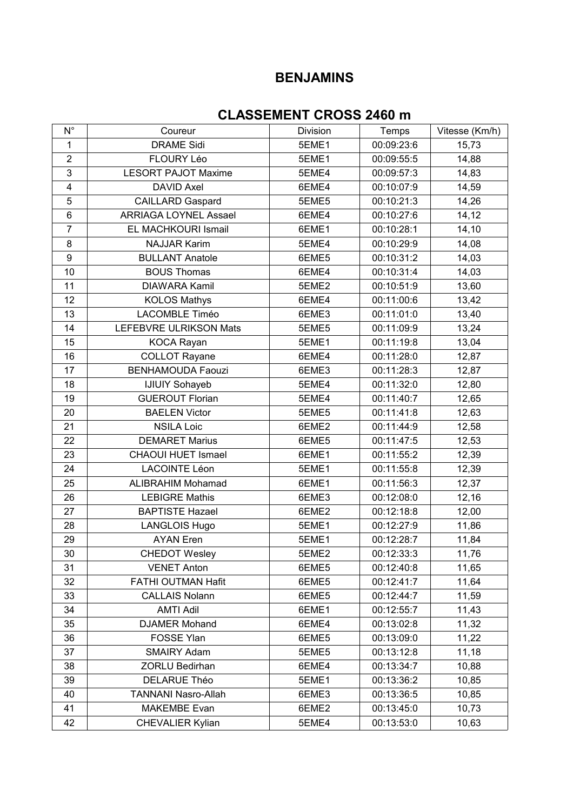## **BENJAMINS**

## **CLASSEMENT CROSS 2460 m**

| $N^{\circ}$             | Coureur                      | Division | Temps      | Vitesse (Km/h) |
|-------------------------|------------------------------|----------|------------|----------------|
| 1                       | <b>DRAME Sidi</b>            | 5EME1    | 00:09:23:6 | 15,73          |
| $\overline{2}$          | <b>FLOURY Léo</b>            | 5EME1    | 00:09:55:5 | 14,88          |
| 3                       | <b>LESORT PAJOT Maxime</b>   | 5EME4    | 00:09:57:3 | 14,83          |
| $\overline{\mathbf{4}}$ | <b>DAVID Axel</b>            | 6EME4    | 00:10:07:9 | 14,59          |
| 5                       | <b>CAILLARD Gaspard</b>      | 5EME5    | 00:10:21:3 | 14,26          |
| $\,6$                   | <b>ARRIAGA LOYNEL Assael</b> | 6EME4    | 00:10:27:6 | 14,12          |
| $\overline{7}$          | EL MACHKOURI Ismail          | 6EME1    | 00:10:28:1 | 14,10          |
| 8                       | <b>NAJJAR Karim</b>          | 5EME4    | 00:10:29:9 | 14,08          |
| 9                       | <b>BULLANT Anatole</b>       | 6EME5    | 00:10:31:2 | 14,03          |
| 10                      | <b>BOUS Thomas</b>           | 6EME4    | 00:10:31:4 | 14,03          |
| 11                      | DIAWARA Kamil                | 5EME2    | 00:10:51:9 | 13,60          |
| 12                      | <b>KOLOS Mathys</b>          | 6EME4    | 00:11:00:6 | 13,42          |
| 13                      | <b>LACOMBLE Timéo</b>        | 6EME3    | 00:11:01:0 | 13,40          |
| 14                      | LEFEBVRE ULRIKSON Mats       | 5EME5    | 00:11:09:9 | 13,24          |
| 15                      | <b>KOCA Rayan</b>            | 5EME1    | 00:11:19:8 | 13,04          |
| 16                      | <b>COLLOT Rayane</b>         | 6EME4    | 00:11:28:0 | 12,87          |
| 17                      | <b>BENHAMOUDA Faouzi</b>     | 6EME3    | 00:11:28:3 | 12,87          |
| 18                      | <b>IJIUIY Sohayeb</b>        | 5EME4    | 00:11:32:0 | 12,80          |
| 19                      | <b>GUEROUT Florian</b>       | 5EME4    | 00:11:40:7 | 12,65          |
| 20                      | <b>BAELEN Victor</b>         | 5EME5    | 00:11:41:8 | 12,63          |
| 21                      | <b>NSILA Loic</b>            | 6EME2    | 00:11:44:9 | 12,58          |
| 22                      | <b>DEMARET Marius</b>        | 6EME5    | 00:11:47:5 | 12,53          |
| 23                      | <b>CHAOUI HUET Ismael</b>    | 6EME1    | 00:11:55:2 | 12,39          |
| 24                      | <b>LACOINTE Léon</b>         | 5EME1    | 00:11:55:8 | 12,39          |
| 25                      | <b>ALIBRAHIM Mohamad</b>     | 6EME1    | 00:11:56:3 | 12,37          |
| 26                      | <b>LEBIGRE Mathis</b>        | 6EME3    | 00:12:08:0 | 12,16          |
| 27                      | <b>BAPTISTE Hazael</b>       | 6EME2    | 00:12:18:8 | 12,00          |
| 28                      | <b>LANGLOIS Hugo</b>         | 5EME1    | 00:12:27:9 | 11,86          |
| 29                      | <b>AYAN</b> Eren             | 5EME1    | 00:12:28:7 | 11,84          |
| 30                      | <b>CHEDOT Wesley</b>         | 5EME2    | 00:12:33:3 | 11,76          |
| 31                      | <b>VENET Anton</b>           | 6EME5    | 00:12:40:8 | 11,65          |
| 32                      | FATHI OUTMAN Hafit           | 6EME5    | 00:12:41:7 | 11,64          |
| 33                      | <b>CALLAIS Nolann</b>        | 6EME5    | 00:12:44:7 | 11,59          |
| 34                      | <b>AMTI Adil</b>             | 6EME1    | 00:12:55:7 | 11,43          |
| 35                      | <b>DJAMER Mohand</b>         | 6EME4    | 00:13:02:8 | 11,32          |
| 36                      | <b>FOSSE Ylan</b>            | 6EME5    | 00:13:09:0 | 11,22          |
| 37                      | <b>SMAIRY Adam</b>           | 5EME5    | 00:13:12:8 | 11,18          |
| 38                      | ZORLU Bedirhan               | 6EME4    | 00:13:34:7 | 10,88          |
| 39                      | <b>DELARUE Théo</b>          | 5EME1    | 00:13:36:2 | 10,85          |
| 40                      | <b>TANNANI Nasro-Allah</b>   | 6EME3    | 00:13:36:5 | 10,85          |
| 41                      | <b>MAKEMBE Evan</b>          | 6EME2    | 00:13:45:0 | 10,73          |
| 42                      | <b>CHEVALIER Kylian</b>      | 5EME4    | 00:13:53:0 | 10,63          |